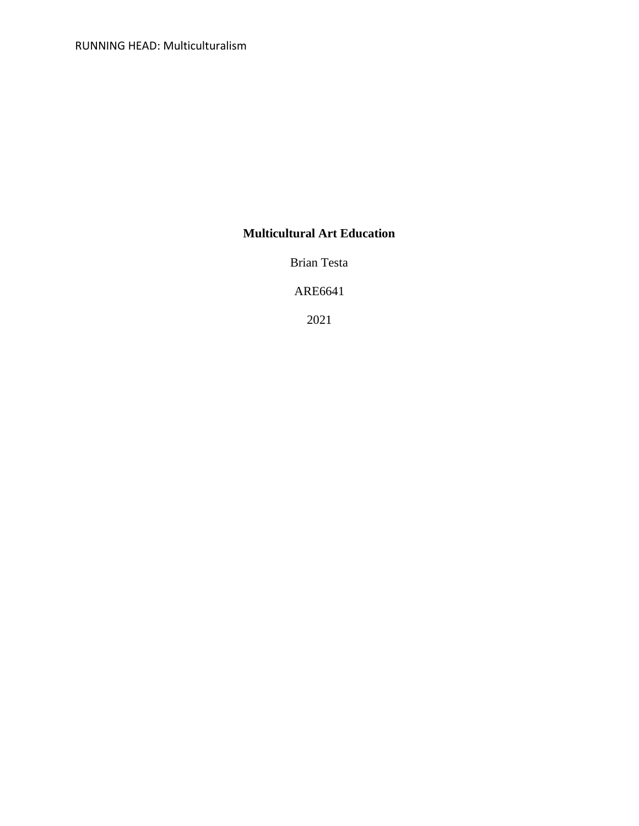# **Multicultural Art Education**

Brian Testa

ARE6641

2021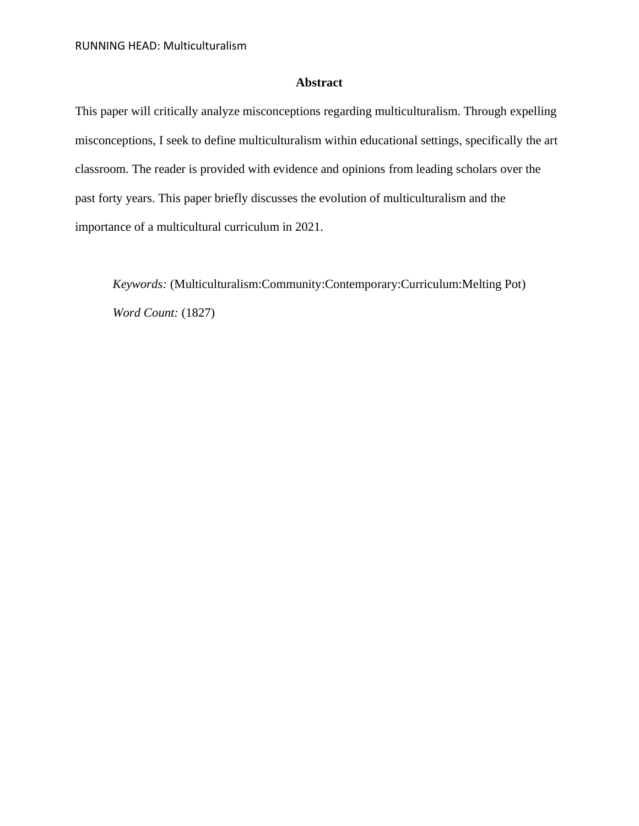## **Abstract**

This paper will critically analyze misconceptions regarding multiculturalism. Through expelling misconceptions, I seek to define multiculturalism within educational settings, specifically the art classroom. The reader is provided with evidence and opinions from leading scholars over the past forty years. This paper briefly discusses the evolution of multiculturalism and the importance of a multicultural curriculum in 2021.

*Keywords:* (Multiculturalism:Community:Contemporary:Curriculum:Melting Pot) *Word Count:* (1827)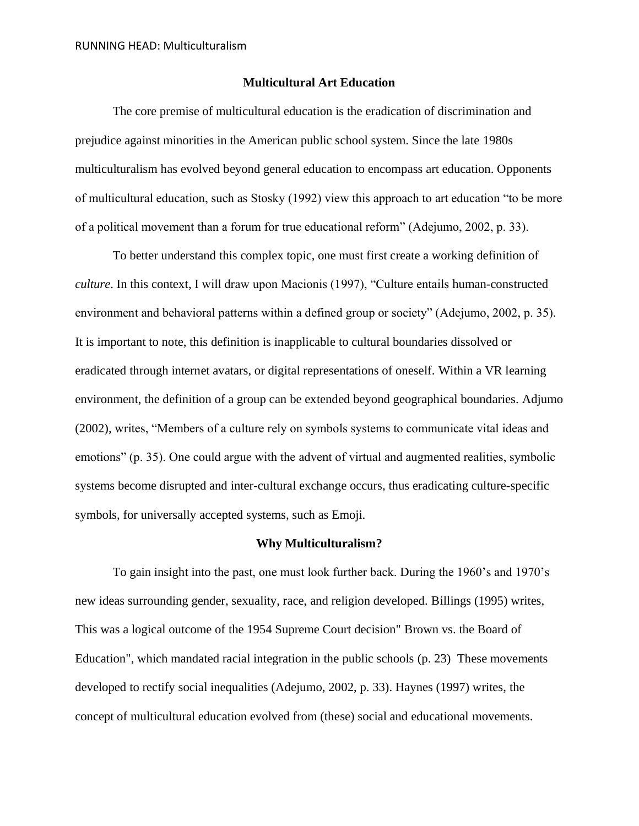#### **Multicultural Art Education**

The core premise of multicultural education is the eradication of discrimination and prejudice against minorities in the American public school system. Since the late 1980s multiculturalism has evolved beyond general education to encompass art education. Opponents of multicultural education, such as Stosky (1992) view this approach to art education "to be more of a political movement than a forum for true educational reform" (Adejumo, 2002, p. 33).

To better understand this complex topic, one must first create a working definition of *culture*. In this context, I will draw upon Macionis (1997), "Culture entails human-constructed environment and behavioral patterns within a defined group or society" (Adejumo, 2002, p. 35). It is important to note, this definition is inapplicable to cultural boundaries dissolved or eradicated through internet avatars, or digital representations of oneself. Within a VR learning environment, the definition of a group can be extended beyond geographical boundaries. Adjumo (2002), writes, "Members of a culture rely on symbols systems to communicate vital ideas and emotions" (p. 35). One could argue with the advent of virtual and augmented realities, symbolic systems become disrupted and inter-cultural exchange occurs, thus eradicating culture-specific symbols, for universally accepted systems, such as Emoji.

#### **Why Multiculturalism?**

To gain insight into the past, one must look further back. During the 1960's and 1970's new ideas surrounding gender, sexuality, race, and religion developed. Billings (1995) writes, This was a logical outcome of the 1954 Supreme Court decision" Brown vs. the Board of Education", which mandated racial integration in the public schools (p. 23) These movements developed to rectify social inequalities (Adejumo, 2002, p. 33). Haynes (1997) writes, the concept of multicultural education evolved from (these) social and educational movements.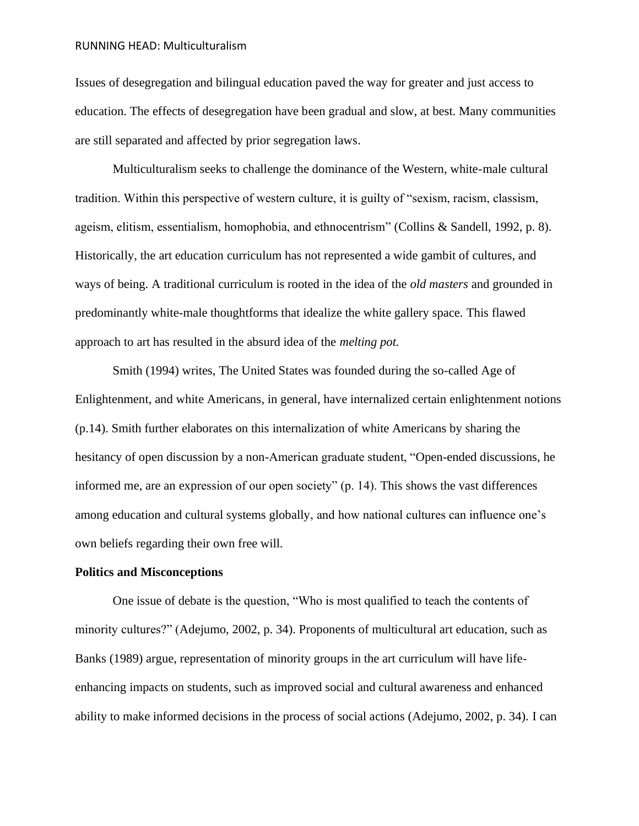Issues of desegregation and bilingual education paved the way for greater and just access to education. The effects of desegregation have been gradual and slow, at best. Many communities are still separated and affected by prior segregation laws.

Multiculturalism seeks to challenge the dominance of the Western, white-male cultural tradition. Within this perspective of western culture, it is guilty of "sexism, racism, classism, ageism, elitism, essentialism, homophobia, and ethnocentrism" (Collins & Sandell, 1992, p. 8). Historically, the art education curriculum has not represented a wide gambit of cultures, and ways of being. A traditional curriculum is rooted in the idea of the *old masters* and grounded in predominantly white-male thoughtforms that idealize the white gallery space. This flawed approach to art has resulted in the absurd idea of the *melting pot.*

Smith (1994) writes, The United States was founded during the so-called Age of Enlightenment, and white Americans, in general, have internalized certain enlightenment notions (p.14). Smith further elaborates on this internalization of white Americans by sharing the hesitancy of open discussion by a non-American graduate student, "Open-ended discussions, he informed me, are an expression of our open society" (p. 14). This shows the vast differences among education and cultural systems globally, and how national cultures can influence one's own beliefs regarding their own free will.

#### **Politics and Misconceptions**

One issue of debate is the question, "Who is most qualified to teach the contents of minority cultures?" (Adejumo, 2002, p. 34). Proponents of multicultural art education, such as Banks (1989) argue, representation of minority groups in the art curriculum will have lifeenhancing impacts on students, such as improved social and cultural awareness and enhanced ability to make informed decisions in the process of social actions (Adejumo, 2002, p. 34). I can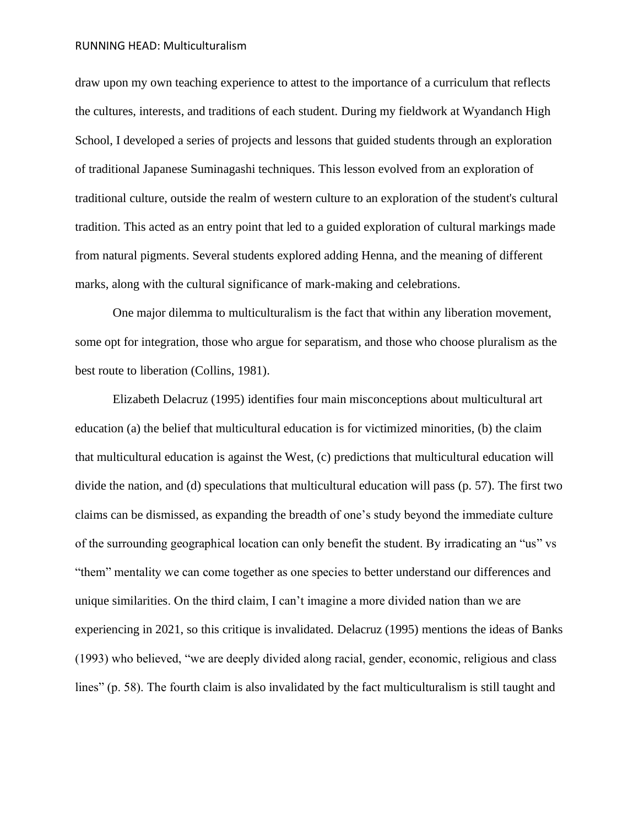draw upon my own teaching experience to attest to the importance of a curriculum that reflects the cultures, interests, and traditions of each student. During my fieldwork at Wyandanch High School, I developed a series of projects and lessons that guided students through an exploration of traditional Japanese Suminagashi techniques. This lesson evolved from an exploration of traditional culture, outside the realm of western culture to an exploration of the student's cultural tradition. This acted as an entry point that led to a guided exploration of cultural markings made from natural pigments. Several students explored adding Henna, and the meaning of different marks, along with the cultural significance of mark-making and celebrations.

One major dilemma to multiculturalism is the fact that within any liberation movement, some opt for integration, those who argue for separatism, and those who choose pluralism as the best route to liberation (Collins, 1981).

Elizabeth Delacruz (1995) identifies four main misconceptions about multicultural art education (a) the belief that multicultural education is for victimized minorities, (b) the claim that multicultural education is against the West, (c) predictions that multicultural education will divide the nation, and (d) speculations that multicultural education will pass (p. 57). The first two claims can be dismissed, as expanding the breadth of one's study beyond the immediate culture of the surrounding geographical location can only benefit the student. By irradicating an "us" vs "them" mentality we can come together as one species to better understand our differences and unique similarities. On the third claim, I can't imagine a more divided nation than we are experiencing in 2021, so this critique is invalidated. Delacruz (1995) mentions the ideas of Banks (1993) who believed, "we are deeply divided along racial, gender, economic, religious and class lines" (p. 58). The fourth claim is also invalidated by the fact multiculturalism is still taught and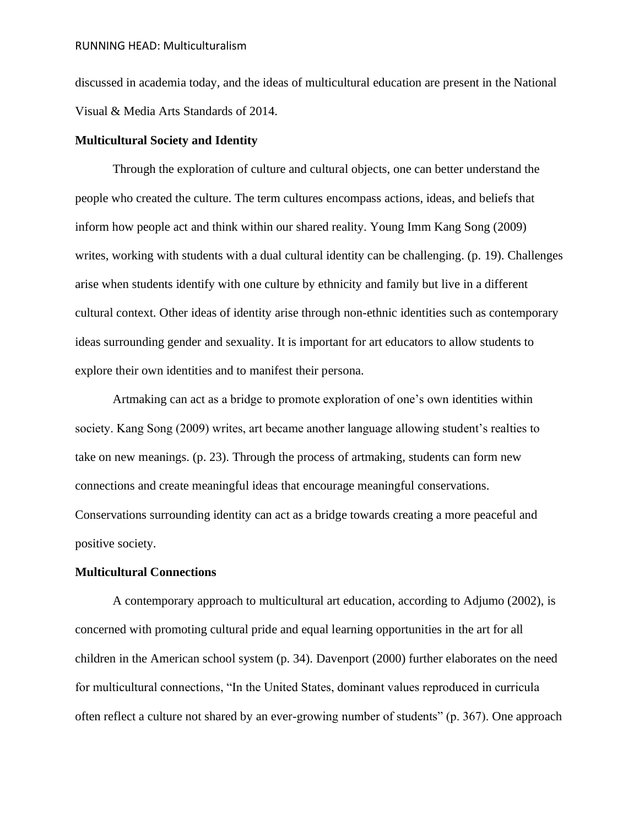discussed in academia today, and the ideas of multicultural education are present in the National Visual & Media Arts Standards of 2014.

### **Multicultural Society and Identity**

Through the exploration of culture and cultural objects, one can better understand the people who created the culture. The term cultures encompass actions, ideas, and beliefs that inform how people act and think within our shared reality. Young Imm Kang Song (2009) writes, working with students with a dual cultural identity can be challenging. (p. 19). Challenges arise when students identify with one culture by ethnicity and family but live in a different cultural context. Other ideas of identity arise through non-ethnic identities such as contemporary ideas surrounding gender and sexuality. It is important for art educators to allow students to explore their own identities and to manifest their persona.

Artmaking can act as a bridge to promote exploration of one's own identities within society. Kang Song (2009) writes, art became another language allowing student's realties to take on new meanings. (p. 23). Through the process of artmaking, students can form new connections and create meaningful ideas that encourage meaningful conservations. Conservations surrounding identity can act as a bridge towards creating a more peaceful and positive society.

#### **Multicultural Connections**

A contemporary approach to multicultural art education, according to Adjumo (2002), is concerned with promoting cultural pride and equal learning opportunities in the art for all children in the American school system (p. 34). Davenport (2000) further elaborates on the need for multicultural connections, "In the United States, dominant values reproduced in curricula often reflect a culture not shared by an ever-growing number of students" (p. 367). One approach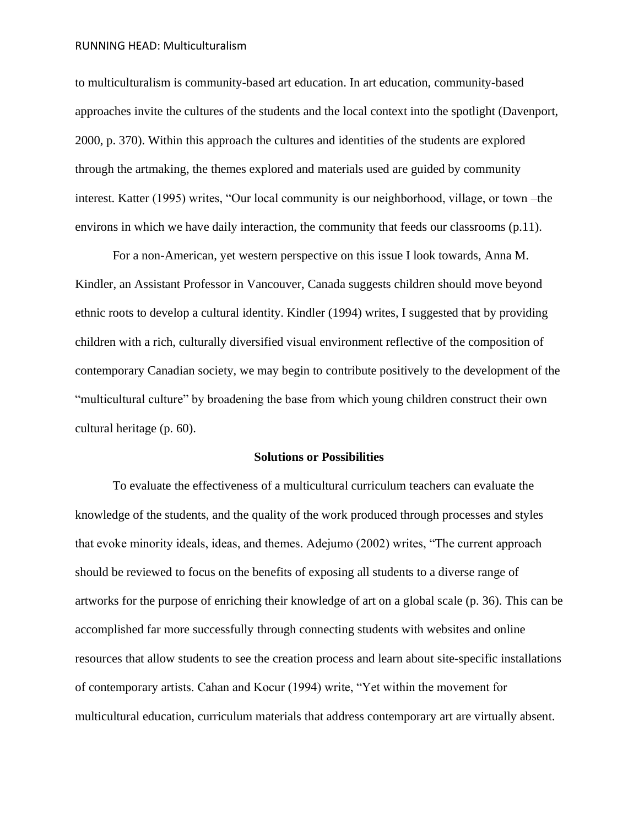to multiculturalism is community-based art education. In art education, community-based approaches invite the cultures of the students and the local context into the spotlight (Davenport, 2000, p. 370). Within this approach the cultures and identities of the students are explored through the artmaking, the themes explored and materials used are guided by community interest. Katter (1995) writes, "Our local community is our neighborhood, village, or town –the environs in which we have daily interaction, the community that feeds our classrooms (p.11).

For a non-American, yet western perspective on this issue I look towards, Anna M. Kindler, an Assistant Professor in Vancouver, Canada suggests children should move beyond ethnic roots to develop a cultural identity. Kindler (1994) writes, I suggested that by providing children with a rich, culturally diversified visual environment reflective of the composition of contemporary Canadian society, we may begin to contribute positively to the development of the "multicultural culture" by broadening the base from which young children construct their own cultural heritage (p. 60).

#### **Solutions or Possibilities**

To evaluate the effectiveness of a multicultural curriculum teachers can evaluate the knowledge of the students, and the quality of the work produced through processes and styles that evoke minority ideals, ideas, and themes. Adejumo (2002) writes, "The current approach should be reviewed to focus on the benefits of exposing all students to a diverse range of artworks for the purpose of enriching their knowledge of art on a global scale (p. 36). This can be accomplished far more successfully through connecting students with websites and online resources that allow students to see the creation process and learn about site-specific installations of contemporary artists. Cahan and Kocur (1994) write, "Yet within the movement for multicultural education, curriculum materials that address contemporary art are virtually absent.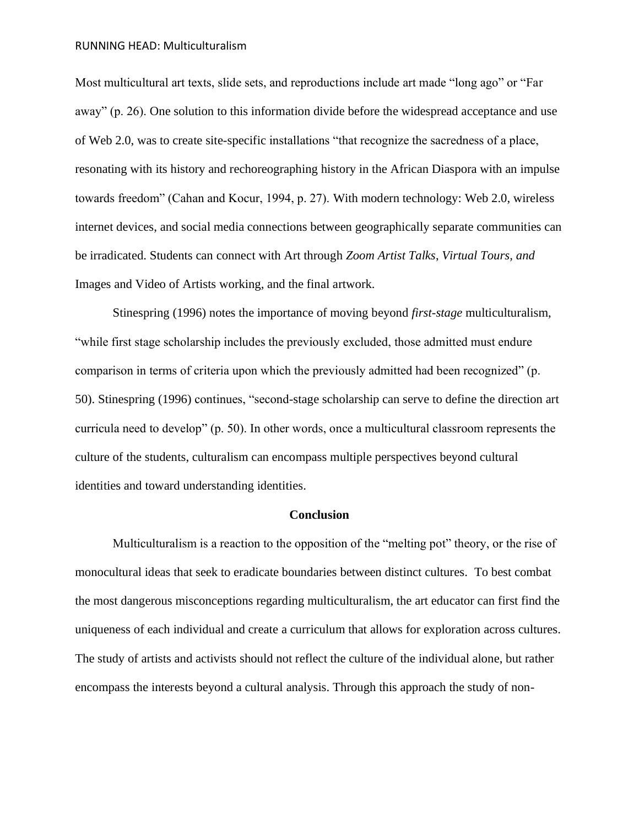Most multicultural art texts, slide sets, and reproductions include art made "long ago" or "Far away" (p. 26). One solution to this information divide before the widespread acceptance and use of Web 2.0, was to create site-specific installations "that recognize the sacredness of a place, resonating with its history and rechoreographing history in the African Diaspora with an impulse towards freedom" (Cahan and Kocur, 1994, p. 27). With modern technology: Web 2.0, wireless internet devices, and social media connections between geographically separate communities can be irradicated. Students can connect with Art through *Zoom Artist Talks*, *Virtual Tours, and*  Images and Video of Artists working, and the final artwork.

Stinespring (1996) notes the importance of moving beyond *first-stage* multiculturalism, "while first stage scholarship includes the previously excluded, those admitted must endure comparison in terms of criteria upon which the previously admitted had been recognized" (p. 50). Stinespring (1996) continues, "second-stage scholarship can serve to define the direction art curricula need to develop" (p. 50). In other words, once a multicultural classroom represents the culture of the students, culturalism can encompass multiple perspectives beyond cultural identities and toward understanding identities.

#### **Conclusion**

Multiculturalism is a reaction to the opposition of the "melting pot" theory, or the rise of monocultural ideas that seek to eradicate boundaries between distinct cultures. To best combat the most dangerous misconceptions regarding multiculturalism, the art educator can first find the uniqueness of each individual and create a curriculum that allows for exploration across cultures. The study of artists and activists should not reflect the culture of the individual alone, but rather encompass the interests beyond a cultural analysis. Through this approach the study of non-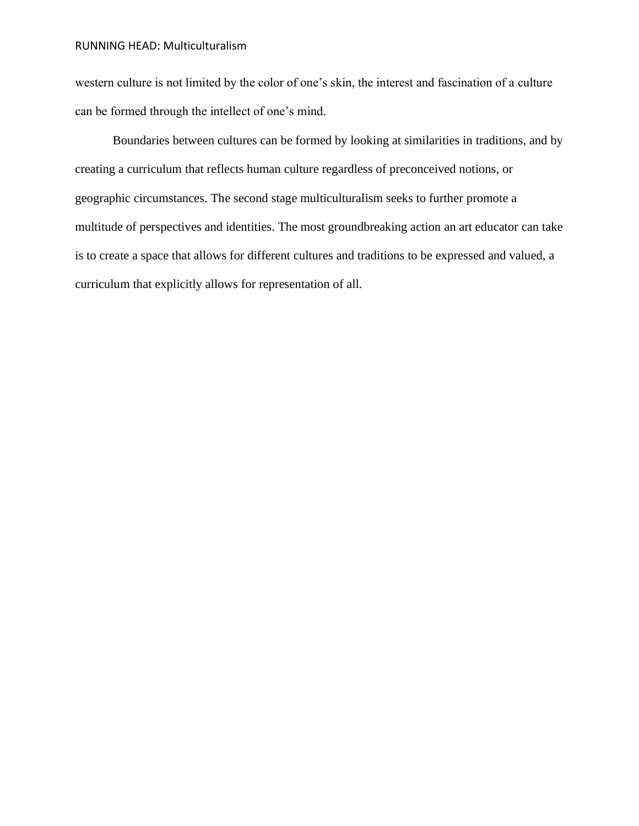western culture is not limited by the color of one's skin, the interest and fascination of a culture can be formed through the intellect of one's mind.

Boundaries between cultures can be formed by looking at similarities in traditions, and by creating a curriculum that reflects human culture regardless of preconceived notions, or geographic circumstances. The second stage multiculturalism seeks to further promote a multitude of perspectives and identities. The most groundbreaking action an art educator can take is to create a space that allows for different cultures and traditions to be expressed and valued, a curriculum that explicitly allows for representation of all.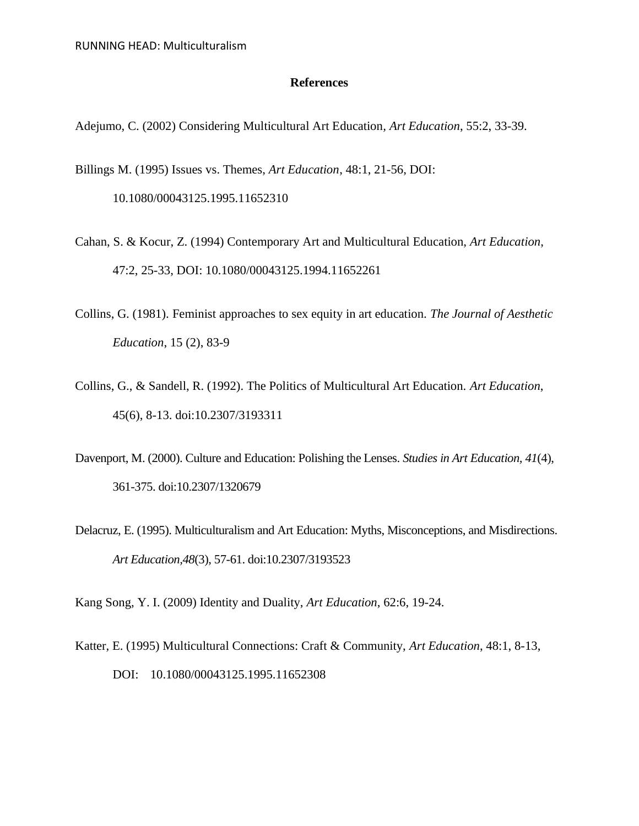### **References**

- Adejumo, C. (2002) Considering Multicultural Art Education*, Art Education*, 55:2, 33-39.
- Billings M. (1995) Issues vs. Themes, *Art Education*, 48:1, 21-56, DOI: 10.1080/00043125.1995.11652310
- Cahan, S. & Kocur, Z. (1994) Contemporary Art and Multicultural Education, *Art Education*, 47:2, 25-33, DOI: 10.1080/00043125.1994.11652261
- Collins, G. (1981). Feminist approaches to sex equity in art education. *The Journal of Aesthetic Education*, 15 (2), 83-9
- Collins, G., & Sandell, R. (1992). The Politics of Multicultural Art Education. *Art Education*, 45(6), 8-13. doi:10.2307/3193311
- Davenport, M. (2000). Culture and Education: Polishing the Lenses. *Studies in Art Education, 41*(4), 361-375. doi:10.2307/1320679
- Delacruz, E. (1995). Multiculturalism and Art Education: Myths, Misconceptions, and Misdirections. *Art Education,48*(3), 57-61. doi:10.2307/3193523

Kang Song, Y. I. (2009) Identity and Duality, *Art Education*, 62:6, 19-24.

Katter, E. (1995) Multicultural Connections: Craft & Community, *Art Education*, 48:1, 8-13, DOI: 10.1080/00043125.1995.11652308